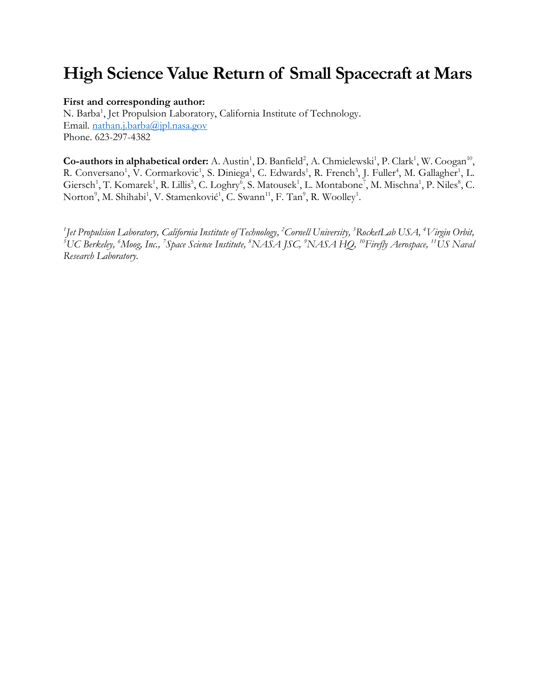# **High Science Value Return of Small Spacecraft at Mars**

#### **First and corresponding author:**

N. Barba<sup>1</sup>, Jet Propulsion Laboratory, California Institute of Technology. Email. [nathan.j.barba@jpl.nasa.gov](mailto:nathan.j.barba@jpl.nasa.gov) Phone. 623-297-4382

 $Co$ -authors in alphabetical order: A. Austin<sup>1</sup>, D. Banfield<sup>2</sup>, A. Chmielewski<sup>1</sup>, P. Clark<sup>1</sup>, W. Coogan<sup>10</sup>, R. Conversano<sup>1</sup>, V. Cormarkovic<sup>1</sup>, S. Diniega<sup>1</sup>, C. Edwards<sup>1</sup>, R. French<sup>3</sup>, J. Fuller<sup>4</sup>, M. Gallagher<sup>1</sup>, L. Giersch<sup>1</sup>, T. Komarek<sup>1</sup>, R. Lillis<sup>5</sup>, C. Loghry<sup>6</sup>, S. Matousek<sup>1</sup>, L. Montabone<sup>7</sup>, M. Mischna<sup>1</sup>, P. Niles<sup>8</sup>, C. Norton<sup>9</sup>, M. Shihabi<sup>1</sup>, V. Stamenković<sup>1</sup>, C. Swann<sup>11</sup>, F. Tan<sup>9</sup>, R. Woolley<sup>1</sup>.

*1 Jet Propulsion Laboratory, California Institute of Technology, <sup>2</sup>Cornell University, <sup>3</sup>RocketLab USA, <sup>4</sup>Virgin Orbit, <sup>5</sup>UC Berkeley, <sup>6</sup>Moog, Inc., <sup>7</sup> Space Science Institute, <sup>8</sup>NASA JSC, <sup>9</sup>NASA HQ, <sup>10</sup>Firefly Aerospace, <sup>11</sup>US Naval Research Laboratory.*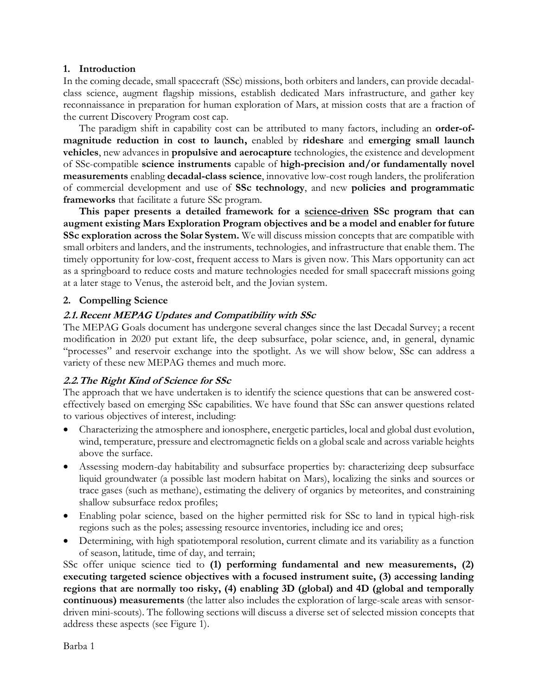#### **1. Introduction**

In the coming decade, small spacecraft (SSc) missions, both orbiters and landers, can provide decadalclass science, augment flagship missions, establish dedicated Mars infrastructure, and gather key reconnaissance in preparation for human exploration of Mars, at mission costs that are a fraction of the current Discovery Program cost cap.

The paradigm shift in capability cost can be attributed to many factors, including an **order-ofmagnitude reduction in cost to launch,** enabled by **rideshare** and **emerging small launch vehicles**, new advances in **propulsive and aerocapture** technologies, the existence and development of SSc-compatible **science instruments** capable of **high-precision and/or fundamentally novel measurements** enabling **decadal-class science**, innovative low-cost rough landers, the proliferation of commercial development and use of **SSc technology**, and new **policies and programmatic frameworks** that facilitate a future SSc program.

**This paper presents a detailed framework for a science-driven SSc program that can augment existing Mars Exploration Program objectives and be a model and enabler for future SSc exploration across the Solar System.** We will discuss mission concepts that are compatible with small orbiters and landers, and the instruments, technologies, and infrastructure that enable them. The timely opportunity for low-cost, frequent access to Mars is given now. This Mars opportunity can act as a springboard to reduce costs and mature technologies needed for small spacecraft missions going at a later stage to Venus, the asteroid belt, and the Jovian system.

## **2. Compelling Science**

## **2.1.Recent MEPAG Updates and Compatibility with SSc**

The MEPAG Goals document has undergone several changes since the last Decadal Survey; a recent modification in 2020 put extant life, the deep subsurface, polar science, and, in general, dynamic "processes" and reservoir exchange into the spotlight. As we will show below, SSc can address a variety of these new MEPAG themes and much more.

#### **2.2.The Right Kind of Science for SSc**

The approach that we have undertaken is to identify the science questions that can be answered costeffectively based on emerging SSc capabilities. We have found that SSc can answer questions related to various objectives of interest, including:

- Characterizing the atmosphere and ionosphere, energetic particles, local and global dust evolution, wind, temperature, pressure and electromagnetic fields on a global scale and across variable heights above the surface.
- Assessing modern-day habitability and subsurface properties by: characterizing deep subsurface liquid groundwater (a possible last modern habitat on Mars), localizing the sinks and sources or trace gases (such as methane), estimating the delivery of organics by meteorites, and constraining shallow subsurface redox profiles;
- Enabling polar science, based on the higher permitted risk for SSc to land in typical high-risk regions such as the poles; assessing resource inventories, including ice and ores;
- Determining, with high spatiotemporal resolution, current climate and its variability as a function of season, latitude, time of day, and terrain;

SSc offer unique science tied to **(1) performing fundamental and new measurements, (2) executing targeted science objectives with a focused instrument suite, (3) accessing landing regions that are normally too risky, (4) enabling 3D (global) and 4D (global and temporally continuous) measurements** (the latter also includes the exploration of large-scale areas with sensordriven mini-scouts). The following sections will discuss a diverse set of selected mission concepts that address these aspects (se[e Figure 1\)](#page-2-0).

Barba 1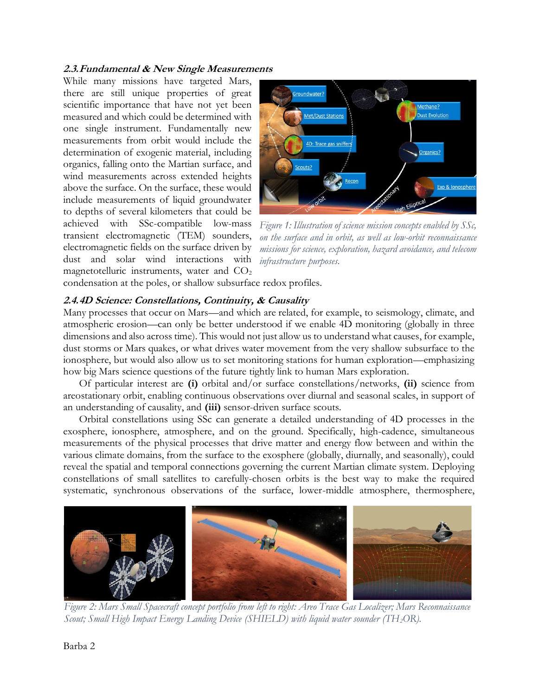#### **2.3.Fundamental & New Single Measurements**

While many missions have targeted Mars, there are still unique properties of great scientific importance that have not yet been measured and which could be determined with one single instrument. Fundamentally new measurements from orbit would include the determination of exogenic material, including organics, falling onto the Martian surface, and wind measurements across extended heights above the surface. On the surface, these would include measurements of liquid groundwater to depths of several kilometers that could be achieved with SSc-compatible low-mass transient electromagnetic (TEM) sounders, electromagnetic fields on the surface driven by dust and solar wind interactions with magnetotelluric instruments, water and  $CO<sub>2</sub>$ 



<span id="page-2-0"></span>*Figure 1: Illustration of science mission concepts enabled by SSc, on the surface and in orbit, as well as low-orbit reconnaissance missions for science, exploration, hazard avoidance, and telecom infrastructure purposes.*

condensation at the poles, or shallow subsurface redox profiles.

#### **2.4.4D Science: Constellations, Continuity, & Causality**

Many processes that occur on Mars—and which are related, for example, to seismology, climate, and atmospheric erosion—can only be better understood if we enable 4D monitoring (globally in three dimensions and also across time). This would not just allow us to understand what causes, for example, dust storms or Mars quakes, or what drives water movement from the very shallow subsurface to the ionosphere, but would also allow us to set monitoring stations for human exploration—emphasizing how big Mars science questions of the future tightly link to human Mars exploration.

Of particular interest are **(i)** orbital and/or surface constellations/networks, **(ii)** science from areostationary orbit, enabling continuous observations over diurnal and seasonal scales, in support of an understanding of causality, and **(iii)** sensor-driven surface scouts.

Orbital constellations using SSc can generate a detailed understanding of 4D processes in the exosphere, ionosphere, atmosphere, and on the ground. Specifically, high-cadence, simultaneous measurements of the physical processes that drive matter and energy flow between and within the various climate domains, from the surface to the exosphere (globally, diurnally, and seasonally), could reveal the spatial and temporal connections governing the current Martian climate system. Deploying constellations of small satellites to carefully-chosen orbits is the best way to make the required systematic, synchronous observations of the surface, lower-middle atmosphere, thermosphere,

<span id="page-2-1"></span>

*Figure 2: Mars Small Spacecraft concept portfolio from left to right: Areo Trace Gas Localizer; Mars Reconnaissance Scout; Small High Impact Energy Landing Device (SHIELD) with liquid water sounder (TH2OR).*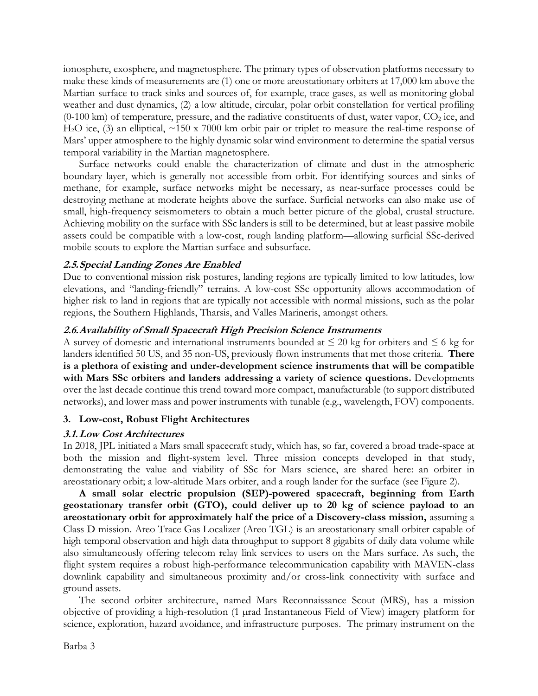ionosphere, exosphere, and magnetosphere. The primary types of observation platforms necessary to make these kinds of measurements are (1) one or more areostationary orbiters at 17,000 km above the Martian surface to track sinks and sources of, for example, trace gases, as well as monitoring global weather and dust dynamics, (2) a low altitude, circular, polar orbit constellation for vertical profiling  $(0-100 \text{ km})$  of temperature, pressure, and the radiative constituents of dust, water vapor,  $CO<sub>2</sub>$  ice, and H<sub>2</sub>O ice, (3) an elliptical, ~150 x 7000 km orbit pair or triplet to measure the real-time response of Mars' upper atmosphere to the highly dynamic solar wind environment to determine the spatial versus temporal variability in the Martian magnetosphere.

Surface networks could enable the characterization of climate and dust in the atmospheric boundary layer, which is generally not accessible from orbit. For identifying sources and sinks of methane, for example, surface networks might be necessary, as near-surface processes could be destroying methane at moderate heights above the surface. Surficial networks can also make use of small, high-frequency seismometers to obtain a much better picture of the global, crustal structure. Achieving mobility on the surface with SSc landers is still to be determined, but at least passive mobile assets could be compatible with a low-cost, rough landing platform—allowing surficial SSc-derived mobile scouts to explore the Martian surface and subsurface.

#### **2.5.Special Landing Zones Are Enabled**

Due to conventional mission risk postures, landing regions are typically limited to low latitudes, low elevations, and "landing-friendly" terrains. A low-cost SSc opportunity allows accommodation of higher risk to land in regions that are typically not accessible with normal missions, such as the polar regions, the Southern Highlands, Tharsis, and Valles Marineris, amongst others.

#### **2.6.Availability of Small Spacecraft High Precision Science Instruments**

A survey of domestic and international instruments bounded at  $\leq 20$  kg for orbiters and  $\leq 6$  kg for landers identified 50 US, and 35 non-US, previously flown instruments that met those criteria. **There is a plethora of existing and under-development science instruments that will be compatible with Mars SSc orbiters and landers addressing a variety of science questions.** Developments over the last decade continue this trend toward more compact, manufacturable (to support distributed networks), and lower mass and power instruments with tunable (e.g., wavelength, FOV) components.

#### **3. Low-cost, Robust Flight Architectures**

#### **3.1.Low Cost Architectures**

In 2018, JPL initiated a Mars small spacecraft study, which has, so far, covered a broad trade-space at both the mission and flight-system level. Three mission concepts developed in that study, demonstrating the value and viability of SSc for Mars science, are shared here: an orbiter in areostationary orbit; a low-altitude Mars orbiter, and a rough lander for the surface (see [Figure 2\)](#page-2-1).

**A small solar electric propulsion (SEP)-powered spacecraft, beginning from Earth geostationary transfer orbit (GTO), could deliver up to 20 kg of science payload to an areostationary orbit for approximately half the price of a Discovery-class mission,** assuming a Class D mission. Areo Trace Gas Localizer (Areo TGL) is an areostationary small orbiter capable of high temporal observation and high data throughput to support 8 gigabits of daily data volume while also simultaneously offering telecom relay link services to users on the Mars surface. As such, the flight system requires a robust high-performance telecommunication capability with MAVEN-class downlink capability and simultaneous proximity and/or cross-link connectivity with surface and ground assets.

The second orbiter architecture, named Mars Reconnaissance Scout (MRS), has a mission objective of providing a high-resolution (1 µrad Instantaneous Field of View) imagery platform for science, exploration, hazard avoidance, and infrastructure purposes. The primary instrument on the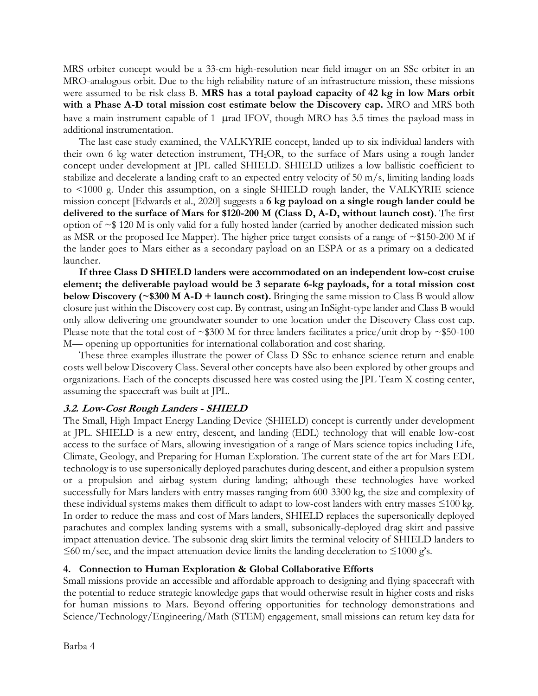MRS orbiter concept would be a 33-cm high-resolution near field imager on an SSc orbiter in an MRO-analogous orbit. Due to the high reliability nature of an infrastructure mission, these missions were assumed to be risk class B. **MRS has a total payload capacity of 42 kg in low Mars orbit with a Phase A-D total mission cost estimate below the Discovery cap.** MRO and MRS both have a main instrument capable of 1  $\mu$ rad IFOV, though MRO has 3.5 times the payload mass in additional instrumentation.

The last case study examined, the VALKYRIE concept, landed up to six individual landers with their own 6 kg water detection instrument, TH2OR, to the surface of Mars using a rough lander concept under development at JPL called SHIELD. SHIELD utilizes a low ballistic coefficient to stabilize and decelerate a landing craft to an expected entry velocity of 50 m/s, limiting landing loads to <1000 g. Under this assumption, on a single SHIELD rough lander, the VALKYRIE science mission concept [Edwards et al., 2020] suggests a **6 kg payload on a single rough lander could be delivered to the surface of Mars for \$120-200 M (Class D, A-D, without launch cost)**. The first option of  $\sim$  \$ 120 M is only valid for a fully hosted lander (carried by another dedicated mission such as MSR or the proposed Ice Mapper). The higher price target consists of a range of ~\$150-200 M if the lander goes to Mars either as a secondary payload on an ESPA or as a primary on a dedicated launcher.

**If three Class D SHIELD landers were accommodated on an independent low-cost cruise element; the deliverable payload would be 3 separate 6-kg payloads, for a total mission cost below Discovery (~\$300 M A-D + launch cost).** Bringing the same mission to Class B would allow closure just within the Discovery cost cap. By contrast, using an InSight-type lander and Class B would only allow delivering one groundwater sounder to one location under the Discovery Class cost cap. Please note that the total cost of  $\sim$ \$300 M for three landers facilitates a price/unit drop by  $\sim$ \$50-100 M— opening up opportunities for international collaboration and cost sharing.

These three examples illustrate the power of Class D SSc to enhance science return and enable costs well below Discovery Class. Several other concepts have also been explored by other groups and organizations. Each of the concepts discussed here was costed using the JPL Team X costing center, assuming the spacecraft was built at JPL.

#### **3.2. Low-Cost Rough Landers - SHIELD**

The Small, High Impact Energy Landing Device (SHIELD) concept is currently under development at JPL. SHIELD is a new entry, descent, and landing (EDL) technology that will enable low-cost access to the surface of Mars, allowing investigation of a range of Mars science topics including Life, Climate, Geology, and Preparing for Human Exploration. The current state of the art for Mars EDL technology is to use supersonically deployed parachutes during descent, and either a propulsion system or a propulsion and airbag system during landing; although these technologies have worked successfully for Mars landers with entry masses ranging from 600-3300 kg, the size and complexity of these individual systems makes them difficult to adapt to low-cost landers with entry masses ≤100 kg. In order to reduce the mass and cost of Mars landers, SHIELD replaces the supersonically deployed parachutes and complex landing systems with a small, subsonically-deployed drag skirt and passive impact attenuation device. The subsonic drag skirt limits the terminal velocity of SHIELD landers to  $\leq 60$  m/sec, and the impact attenuation device limits the landing deceleration to  $\leq 1000$  g's.

# **4. Connection to Human Exploration & Global Collaborative Efforts**

Small missions provide an accessible and affordable approach to designing and flying spacecraft with the potential to reduce strategic knowledge gaps that would otherwise result in higher costs and risks for human missions to Mars. Beyond offering opportunities for technology demonstrations and Science/Technology/Engineering/Math (STEM) engagement, small missions can return key data for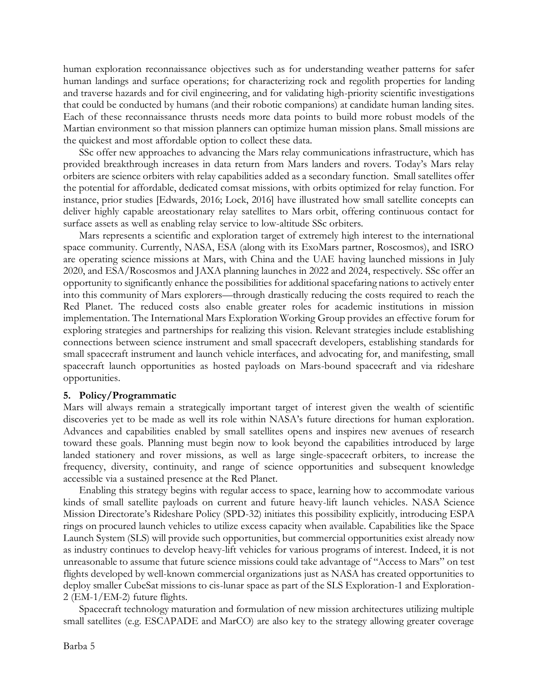human exploration reconnaissance objectives such as for understanding weather patterns for safer human landings and surface operations; for characterizing rock and regolith properties for landing and traverse hazards and for civil engineering, and for validating high-priority scientific investigations that could be conducted by humans (and their robotic companions) at candidate human landing sites. Each of these reconnaissance thrusts needs more data points to build more robust models of the Martian environment so that mission planners can optimize human mission plans. Small missions are the quickest and most affordable option to collect these data.

SSc offer new approaches to advancing the Mars relay communications infrastructure, which has provided breakthrough increases in data return from Mars landers and rovers. Today's Mars relay orbiters are science orbiters with relay capabilities added as a secondary function. Small satellites offer the potential for affordable, dedicated comsat missions, with orbits optimized for relay function. For instance, prior studies [Edwards, 2016; Lock, 2016] have illustrated how small satellite concepts can deliver highly capable areostationary relay satellites to Mars orbit, offering continuous contact for surface assets as well as enabling relay service to low-altitude SSc orbiters.

Mars represents a scientific and exploration target of extremely high interest to the international space community. Currently, NASA, ESA (along with its ExoMars partner, Roscosmos), and ISRO are operating science missions at Mars, with China and the UAE having launched missions in July 2020, and ESA/Roscosmos and JAXA planning launches in 2022 and 2024, respectively. SSc offer an opportunity to significantly enhance the possibilities for additional spacefaring nations to actively enter into this community of Mars explorers—through drastically reducing the costs required to reach the Red Planet. The reduced costs also enable greater roles for academic institutions in mission implementation. The International Mars Exploration Working Group provides an effective forum for exploring strategies and partnerships for realizing this vision. Relevant strategies include establishing connections between science instrument and small spacecraft developers, establishing standards for small spacecraft instrument and launch vehicle interfaces, and advocating for, and manifesting, small spacecraft launch opportunities as hosted payloads on Mars-bound spacecraft and via rideshare opportunities.

#### **5. Policy/Programmatic**

Mars will always remain a strategically important target of interest given the wealth of scientific discoveries yet to be made as well its role within NASA's future directions for human exploration. Advances and capabilities enabled by small satellites opens and inspires new avenues of research toward these goals. Planning must begin now to look beyond the capabilities introduced by large landed stationery and rover missions, as well as large single-spacecraft orbiters, to increase the frequency, diversity, continuity, and range of science opportunities and subsequent knowledge accessible via a sustained presence at the Red Planet.

Enabling this strategy begins with regular access to space, learning how to accommodate various kinds of small satellite payloads on current and future heavy-lift launch vehicles. NASA Science Mission Directorate's Rideshare Policy (SPD-32) initiates this possibility explicitly, introducing ESPA rings on procured launch vehicles to utilize excess capacity when available. Capabilities like the Space Launch System (SLS) will provide such opportunities, but commercial opportunities exist already now as industry continues to develop heavy-lift vehicles for various programs of interest. Indeed, it is not unreasonable to assume that future science missions could take advantage of "Access to Mars" on test flights developed by well-known commercial organizations just as NASA has created opportunities to deploy smaller CubeSat missions to cis-lunar space as part of the SLS Exploration-1 and Exploration-2 (EM-1/EM-2) future flights.

Spacecraft technology maturation and formulation of new mission architectures utilizing multiple small satellites (e.g. ESCAPADE and MarCO) are also key to the strategy allowing greater coverage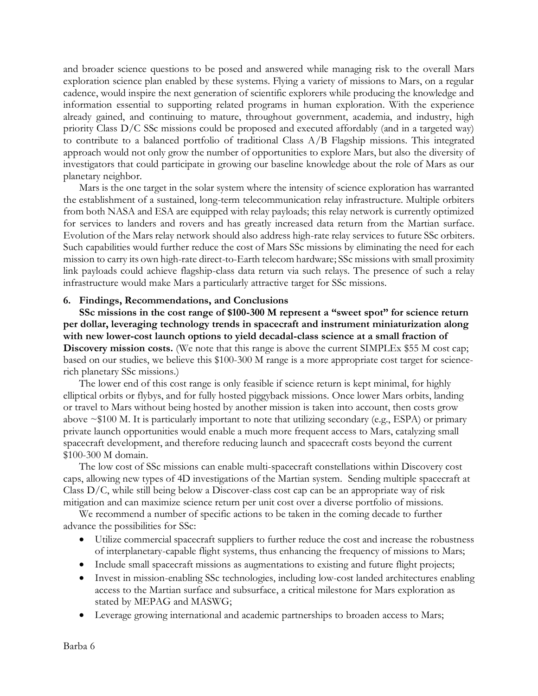and broader science questions to be posed and answered while managing risk to the overall Mars exploration science plan enabled by these systems. Flying a variety of missions to Mars, on a regular cadence, would inspire the next generation of scientific explorers while producing the knowledge and information essential to supporting related programs in human exploration. With the experience already gained, and continuing to mature, throughout government, academia, and industry, high priority Class D/C SSc missions could be proposed and executed affordably (and in a targeted way) to contribute to a balanced portfolio of traditional Class A/B Flagship missions. This integrated approach would not only grow the number of opportunities to explore Mars, but also the diversity of investigators that could participate in growing our baseline knowledge about the role of Mars as our planetary neighbor.

Mars is the one target in the solar system where the intensity of science exploration has warranted the establishment of a sustained, long-term telecommunication relay infrastructure. Multiple orbiters from both NASA and ESA are equipped with relay payloads; this relay network is currently optimized for services to landers and rovers and has greatly increased data return from the Martian surface. Evolution of the Mars relay network should also address high-rate relay services to future SSc orbiters. Such capabilities would further reduce the cost of Mars SSc missions by eliminating the need for each mission to carry its own high-rate direct-to-Earth telecom hardware; SSc missions with small proximity link payloads could achieve flagship-class data return via such relays. The presence of such a relay infrastructure would make Mars a particularly attractive target for SSc missions.

#### **6. Findings, Recommendations, and Conclusions**

**SSc missions in the cost range of \$100-300 M represent a "sweet spot" for science return per dollar, leveraging technology trends in spacecraft and instrument miniaturization along with new lower-cost launch options to yield decadal-class science at a small fraction of Discovery mission costs.** (We note that this range is above the current SIMPLEx \$55 M cost cap; based on our studies, we believe this \$100-300 M range is a more appropriate cost target for sciencerich planetary SSc missions.)

The lower end of this cost range is only feasible if science return is kept minimal, for highly elliptical orbits or flybys, and for fully hosted piggyback missions. Once lower Mars orbits, landing or travel to Mars without being hosted by another mission is taken into account, then costs grow above  $\sim$ \$100 M. It is particularly important to note that utilizing secondary (e.g., ESPA) or primary private launch opportunities would enable a much more frequent access to Mars, catalyzing small spacecraft development, and therefore reducing launch and spacecraft costs beyond the current \$100-300 M domain.

The low cost of SSc missions can enable multi-spacecraft constellations within Discovery cost caps, allowing new types of 4D investigations of the Martian system. Sending multiple spacecraft at Class  $D/C$ , while still being below a Discover-class cost cap can be an appropriate way of risk mitigation and can maximize science return per unit cost over a diverse portfolio of missions.

We recommend a number of specific actions to be taken in the coming decade to further advance the possibilities for SSc:

- Utilize commercial spacecraft suppliers to further reduce the cost and increase the robustness of interplanetary-capable flight systems, thus enhancing the frequency of missions to Mars;
- Include small spacecraft missions as augmentations to existing and future flight projects;
- Invest in mission-enabling SSc technologies, including low-cost landed architectures enabling access to the Martian surface and subsurface, a critical milestone for Mars exploration as stated by MEPAG and MASWG;
- Leverage growing international and academic partnerships to broaden access to Mars;